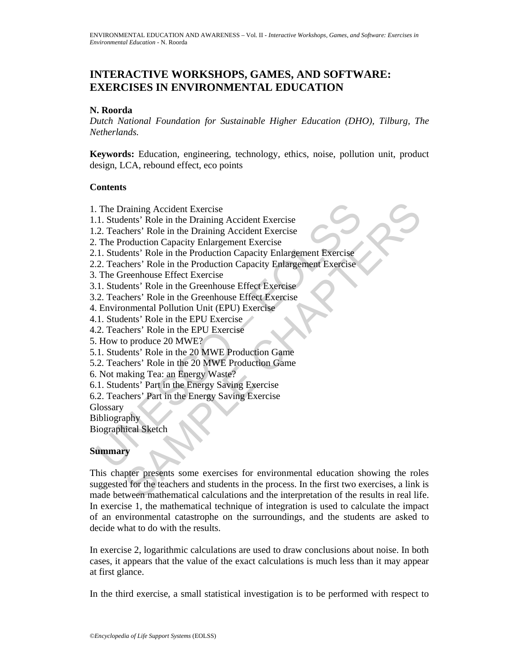# **INTERACTIVE WORKSHOPS, GAMES, AND SOFTWARE: EXERCISES IN ENVIRONMENTAL EDUCATION**

#### **N. Roorda**

*Dutch National Foundation for Sustainable Higher Education (DHO), Tilburg, The Netherlands.*

**Keywords:** Education, engineering, technology, ethics, noise, pollution unit, product design, LCA, rebound effect, eco points

#### **Contents**

The Draining Accident Exercise<br>
1. Students' Role in the Draining Accident Exercise<br>
2. Teachers' Role in the Draining Accident Exercise<br>
1. Students' Role in the Production Capacity Enlargement Exercise<br>
1. Students' Role raining Accident Exercise<br>
ents' Role in the Draining Accident Exercise<br>
hors' Role in the Draining Accident Exercise<br>
coduction Capacity Enlargement Exercise<br>
ents' Role in the Production Capacity Enlargement Exercise<br>
re 1. The Draining Accident Exercise 1.1. Students' Role in the Draining Accident Exercise 1.2. Teachers' Role in the Draining Accident Exercise 2. The Production Capacity Enlargement Exercise 2.1. Students' Role in the Production Capacity Enlargement Exercise 2.2. Teachers' Role in the Production Capacity Enlargement Exercise 3. The Greenhouse Effect Exercise 3.1. Students' Role in the Greenhouse Effect Exercise 3.2. Teachers' Role in the Greenhouse Effect Exercise 4. Environmental Pollution Unit (EPU) Exercise 4.1. Students' Role in the EPU Exercise 4.2. Teachers' Role in the EPU Exercise 5. How to produce 20 MWE? 5.1. Students' Role in the 20 MWE Production Game 5.2. Teachers' Role in the 20 MWE Production Game 6. Not making Tea: an Energy Waste? 6.1. Students' Part in the Energy Saving Exercise 6.2. Teachers' Part in the Energy Saving Exercise **Glossary** Bibliography Biographical Sketch **Summary** 

This chapter presents some exercises for environmental education showing the roles suggested for the teachers and students in the process. In the first two exercises, a link is made between mathematical calculations and the interpretation of the results in real life. In exercise 1, the mathematical technique of integration is used to calculate the impact of an environmental catastrophe on the surroundings, and the students are asked to decide what to do with the results.

In exercise 2, logarithmic calculations are used to draw conclusions about noise. In both cases, it appears that the value of the exact calculations is much less than it may appear at first glance.

In the third exercise, a small statistical investigation is to be performed with respect to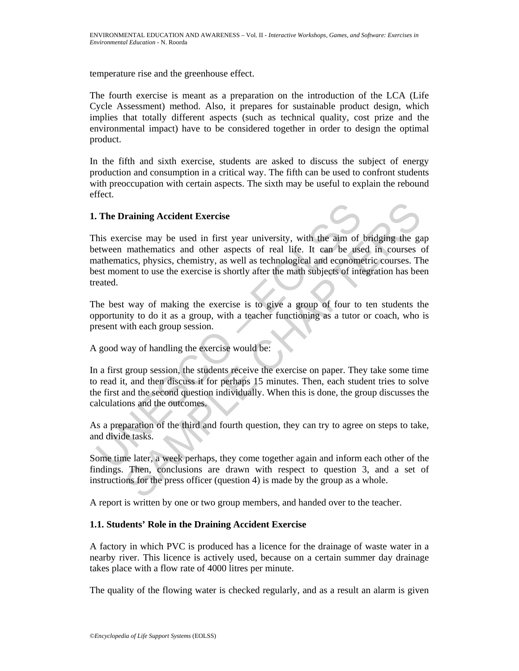temperature rise and the greenhouse effect.

The fourth exercise is meant as a preparation on the introduction of the LCA (Life Cycle Assessment) method. Also, it prepares for sustainable product design, which implies that totally different aspects (such as technical quality, cost prize and the environmental impact) have to be considered together in order to design the optimal product.

In the fifth and sixth exercise, students are asked to discuss the subject of energy production and consumption in a critical way. The fifth can be used to confront students with preoccupation with certain aspects. The sixth may be useful to explain the rebound effect.

#### **1. The Draining Accident Exercise**

The Draining Accident Exercise<br>
this exercise may be used in first year university, with the aim of<br>
etween mathematics and other aspects of real life. It can be use<br>
tathematics, physics, chemistry, as well as technologic Fraining Accident Exercise<br>recise may be used in first year university, with the aim of bridging the g<br>mathematics and other aspects of real life. It can be used in courses<br>retices, physics, chemistry, as well as technolog This exercise may be used in first year university, with the aim of bridging the gap between mathematics and other aspects of real life. It can be used in courses of mathematics, physics, chemistry, as well as technological and econometric courses. The best moment to use the exercise is shortly after the math subjects of integration has been treated.

The best way of making the exercise is to give a group of four to ten students the opportunity to do it as a group, with a teacher functioning as a tutor or coach, who is present with each group session.

A good way of handling the exercise would be:

In a first group session, the students receive the exercise on paper. They take some time to read it, and then discuss it for perhaps 15 minutes. Then, each student tries to solve the first and the second question individually. When this is done, the group discusses the calculations and the outcomes.

As a preparation of the third and fourth question, they can try to agree on steps to take, and divide tasks.

Some time later, a week perhaps, they come together again and inform each other of the findings. Then, conclusions are drawn with respect to question 3, and a set of instructions for the press officer (question 4) is made by the group as a whole.

A report is written by one or two group members, and handed over to the teacher.

#### **1.1. Students' Role in the Draining Accident Exercise**

A factory in which PVC is produced has a licence for the drainage of waste water in a nearby river. This licence is actively used, because on a certain summer day drainage takes place with a flow rate of 4000 litres per minute.

The quality of the flowing water is checked regularly, and as a result an alarm is given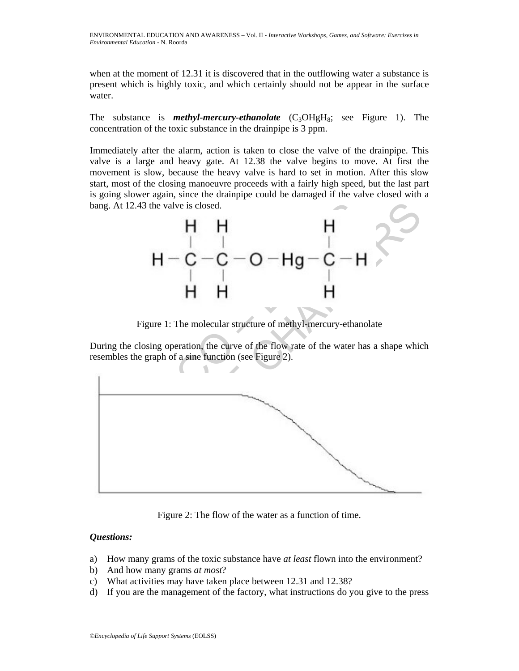when at the moment of 12.31 it is discovered that in the outflowing water a substance is present which is highly toxic, and which certainly should not be appear in the surface water.

The substance is *methyl-mercury-ethanolate* (C<sub>3</sub>OHgH<sub>8</sub>; see Figure 1). The concentration of the toxic substance in the drainpipe is 3 ppm.

Immediately after the alarm, action is taken to close the valve of the drainpipe. This valve is a large and heavy gate. At 12.38 the valve begins to move. At first the movement is slow, because the heavy valve is hard to set in motion. After this slow start, most of the closing manoeuvre proceeds with a fairly high speed, but the last part is going slower again, since the drainpipe could be damaged if the valve closed with a bang. At 12.43 the valve is closed.



Figure 1: The molecular structure of methyl-mercury-ethanolate

During the closing operation, the curve of the flow rate of the water has a shape which resembles the graph of a sine function (see Figure 2).



Figure 2: The flow of the water as a function of time.

## *Questions:*

- a) How many grams of the toxic substance have *at least* flown into the environment?
- b) And how many grams *at most*?
- c) What activities may have taken place between 12.31 and 12.38?
- d) If you are the management of the factory, what instructions do you give to the press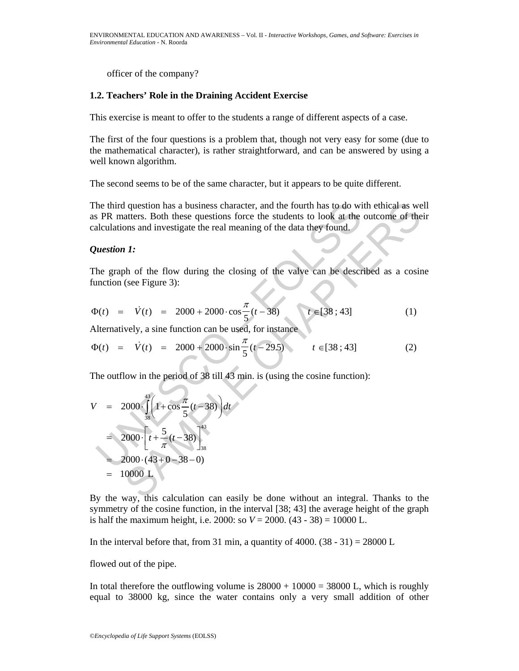officer of the company?

#### **1.2. Teachers' Role in the Draining Accident Exercise**

This exercise is meant to offer to the students a range of different aspects of a case.

The first of the four questions is a problem that, though not very easy for some (due to the mathematical character), is rather straightforward, and can be answered by using a well known algorithm.

The second seems to be of the same character, but it appears to be quite different.

The third question has a business character, and the fourth has to do with ethical as well as PR matters. Both these questions force the students to look at the outcome of their calculations and investigate the real meaning of the data they found.

#### *Question 1:*

The graph of the flow during the closing of the valve can be described as a cosine function (see Figure 3):

$$
\Phi(t) = \dot{V}(t) = 2000 + 2000 \cdot \cos \frac{\pi}{5} (t - 38) \qquad t \in [38; 43]
$$
 (1)

Alternatively, a sine function can be used, for instance

$$
\Phi(t) = \dot{V}(t) = 2000 + 2000 \cdot \sin \frac{\pi}{5} (t - 29.5) \qquad t \in [38; 43]
$$
 (2)

The outflow in the period of 38 till 43 min. is (using the cosine function):

The third question has a business character, and the fourth has to do with ethical as we  
as PR matters. Both these questions force the students to look at the outcome of the  
calculations and investigate the real meaning of the data they found.  
*Question 1:*  
The graph of the flow during the closing of the valve can be described as a cosin  
function (see Figure 3):  

$$
\Phi(t) = \dot{V}(t) = 2000 + 2000 \cdot \cos \frac{\pi}{5} (t - 38)
$$
 $t \in [38; 43]$  (1)  
Alternatively, a sine function can be used, for instance  

$$
\Phi(t) = \dot{V}(t) = 2000 + 2000 \cdot \sin \frac{\pi}{5} (t - 29.5)
$$
 $t \in [38; 43]$  (2)  
The outflow in the period of 38 till 43 min. is (using the cosine function):  

$$
V = 2000 \cdot \int_{38}^{43} \left(1 + \cos \frac{\pi}{5} (t - 38)\right) dt
$$

$$
= 2000 \cdot \left[t + \frac{5}{\pi} (t - 38)\right]_{38}^{43}
$$

$$
= 2000 \cdot (43 + 0 - 38 - 0)
$$

$$
= 10000 \text{ L}
$$

By the way, this calculation can easily be done without an integral. Thanks to the symmetry of the cosine function, in the interval [38; 43] the average height of the graph is half the maximum height, i.e. 2000: so  $V = 2000$ . (43 - 38) = 10000 L.

In the interval before that, from 31 min, a quantity of 4000.  $(38 - 31) = 28000$  L

flowed out of the pipe.

In total therefore the outflowing volume is  $28000 + 10000 = 38000$  L, which is roughly equal to 38000 kg, since the water contains only a very small addition of other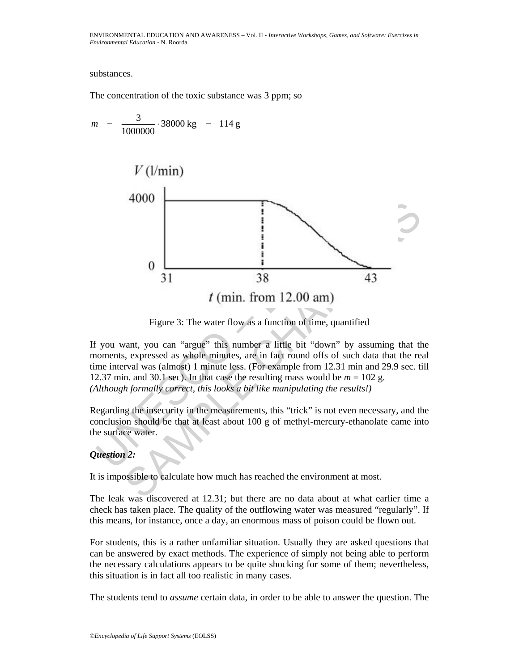#### substances.

The concentration of the toxic substance was 3 ppm; so



Figure 3: The water flow as a function of time, quantified

If you want, you can "argue" this number a little bit "down" by assuming that the moments, expressed as whole minutes, are in fact round offs of such data that the real time interval was (almost) 1 minute less. (For example from 12.31 min and 29.9 sec. till 12.37 min. and 30.1 sec). In that case the resulting mass would be  $m = 102$  g. *(Although formally correct, this looks a bit like manipulating the results!)*

Regarding the insecurity in the measurements, this "trick" is not even necessary, and the conclusion should be that at least about 100 g of methyl-mercury-ethanolate came into the surface water.

## *Question 2:*

It is impossible to calculate how much has reached the environment at most.

The leak was discovered at 12.31; but there are no data about at what earlier time a check has taken place. The quality of the outflowing water was measured "regularly". If this means, for instance, once a day, an enormous mass of poison could be flown out.

For students, this is a rather unfamiliar situation. Usually they are asked questions that can be answered by exact methods. The experience of simply not being able to perform the necessary calculations appears to be quite shocking for some of them; nevertheless, this situation is in fact all too realistic in many cases.

The students tend to *assume* certain data, in order to be able to answer the question. The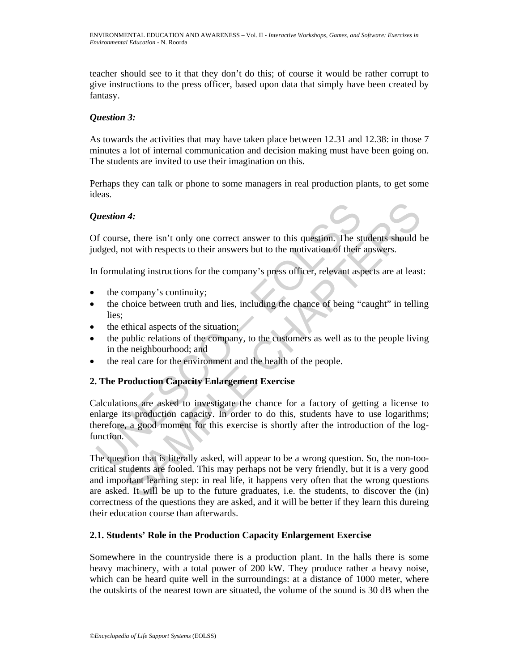teacher should see to it that they don't do this; of course it would be rather corrupt to give instructions to the press officer, based upon data that simply have been created by fantasy.

#### *Question 3:*

As towards the activities that may have taken place between 12.31 and 12.38: in those 7 minutes a lot of internal communication and decision making must have been going on. The students are invited to use their imagination on this.

Perhaps they can talk or phone to some managers in real production plants, to get some ideas.

#### *Question 4:*

Of course, there isn't only one correct answer to this question. The students should be judged, not with respects to their answers but to the motivation of their answers.

In formulating instructions for the company's press officer, relevant aspects are at least:

- the company's continuity;
- the choice between truth and lies, including the chance of being "caught" in telling lies;
- the ethical aspects of the situation;
- the public relations of the company, to the customers as well as to the people living in the neighbourhood; and
- the real care for the environment and the health of the people.

## **2. The Production Capacity Enlargement Exercise**

**Solution 4:**<br>
Interaction 4:<br>
Interaction of their answers but to the motivation. The state diged, not with respects to their answers but to the motivation of their<br>
1 formulating instructions for the company's press offi Calculations are asked to investigate the chance for a factory of getting a license to enlarge its production capacity. In order to do this, students have to use logarithms; therefore, a good moment for this exercise is shortly after the introduction of the logfunction.

14:<br>
e, there isn't only one correct answer to this question. The students should<br>
bot with respects to their answers but to the motivation of their answers.<br>
lating instructions for the company's press officer, relevant a The question that is literally asked, will appear to be a wrong question. So, the non-toocritical students are fooled. This may perhaps not be very friendly, but it is a very good and important learning step: in real life, it happens very often that the wrong questions are asked. It will be up to the future graduates, i.e. the students, to discover the (in) correctness of the questions they are asked, and it will be better if they learn this dureing their education course than afterwards.

#### **2.1. Students' Role in the Production Capacity Enlargement Exercise**

Somewhere in the countryside there is a production plant. In the halls there is some heavy machinery, with a total power of 200 kW. They produce rather a heavy noise, which can be heard quite well in the surroundings: at a distance of 1000 meter, where the outskirts of the nearest town are situated, the volume of the sound is 30 dB when the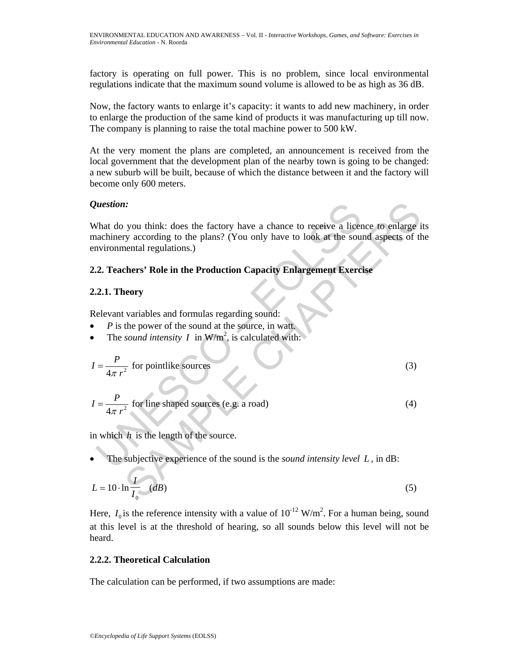factory is operating on full power. This is no problem, since local environmental regulations indicate that the maximum sound volume is allowed to be as high as 36 dB.

Now, the factory wants to enlarge it's capacity: it wants to add new machinery, in order to enlarge the production of the same kind of products it was manufacturing up till now. The company is planning to raise the total machine power to 500 kW.

At the very moment the plans are completed, an announcement is received from the local government that the development plan of the nearby town is going to be changed: a new suburb will be built, because of which the distance between it and the factory will become only 600 meters.

#### *Question:*

**Unitary** Westfrainty according to the factory have a chance to receive a lice<br>nachinery according to the plans? (You only have to look at the sourcinonmental regulations.)<br>2. **Teachers' Role in the Production Capacity En** 1.<br>
you think: does the factory have a chance to receive a licence to enlarge if<br>
y according to the plans? (You only have to look at the sound aspects of the<br>
thermal regulations.)<br>
chers' Role in the Production Capacity What do you think: does the factory have a chance to receive a licence to enlarge its machinery according to the plans? (You only have to look at the sound aspects of the environmental regulations.)

## **2.2. Teachers' Role in the Production Capacity Enlargement Exercise**

## **2.2.1. Theory**

Relevant variables and formulas regarding sound:

- *P* is the power of the sound at the source, in watt.
- The *sound intensity*  $I$  in  $W/m^2$ , is calculated with:

$$
I = \frac{P}{4\pi r^2}
$$
 for pointlike sources (3)

$$
I = \frac{P}{4\pi r^2}
$$
 for line shaped sources (e.g. a road) (4)

in which *h* is the length of the source.

• The subjective experience of the sound is the *sound intensity level L* , in dB:

$$
L = 10 \cdot \ln \frac{I}{I_0} \quad (dB)
$$
 (5)

Here,  $I_0$  is the reference intensity with a value of  $10^{-12}$  W/m<sup>2</sup>. For a human being, sound at this level is at the threshold of hearing, so all sounds below this level will not be heard.

## **2.2.2. Theoretical Calculation**

The calculation can be performed, if two assumptions are made: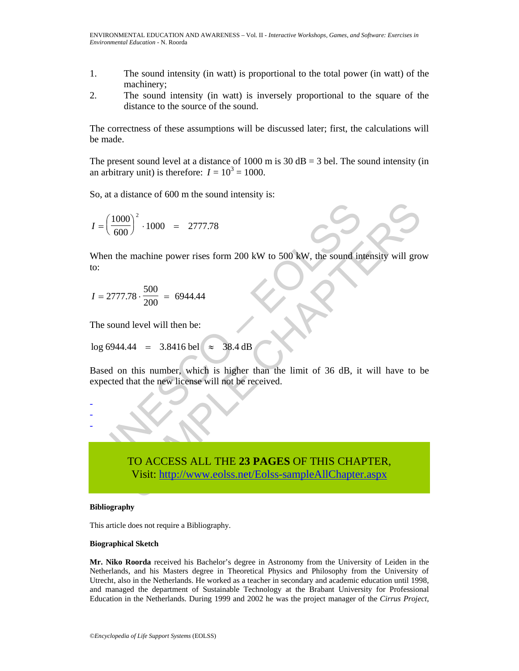- 1. The sound intensity (in watt) is proportional to the total power (in watt) of the machinery;
- 2. The sound intensity (in watt) is inversely proportional to the square of the distance to the source of the sound.

The correctness of these assumptions will be discussed later; first, the calculations will be made.

The present sound level at a distance of 1000 m is  $30$  dB = 3 bel. The sound intensity (in an arbitrary unit) is therefore:  $I = 10^3 = 1000$ .

So, at a distance of 600 m the sound intensity is:

$$
I = \left(\frac{1000}{600}\right)^2 \cdot 1000 = 2777.78
$$

 $=\left(\frac{1000}{600}\right)^2 \cdot 1000 = 2777.78$ <br>
Then the machine power rises form 200 kW to 500 kW, the sound in<br>  $= 2777.78 \cdot \frac{500}{200} = 6944.44$ <br>
the sound level will then be:<br>  $\log 6944.44 = 3.8416$  bel  $\approx 38.4$  dB<br>
ased on this When the machine power rises form 200 kW to 500 kW, the sound intensity will grow to:

$$
I = 2777.78 \cdot \frac{500}{200} = 6944.44
$$

The sound level will then be:

$$
\log 6944.44 = 3.8416 \text{ bel} \approx 38.4 \text{ dB}
$$

Based on this number, which is higher than the limit of 36 dB, it will have to be expected that the new license will not be received.



#### **Bibliography**

- - -

This article does not require a Bibliography.

#### **Biographical Sketch**

**Mr. Niko Roorda** received his Bachelor's degree in Astronomy from the University of Leiden in the Netherlands, and his Masters degree in Theoretical Physics and Philosophy from the University of Utrecht, also in the Netherlands. He worked as a teacher in secondary and academic education until 1998, and managed the department of Sustainable Technology at the Brabant University for Professional Education in the Netherlands. During 1999 and 2002 he was the project manager of the *Cirrus Project*,